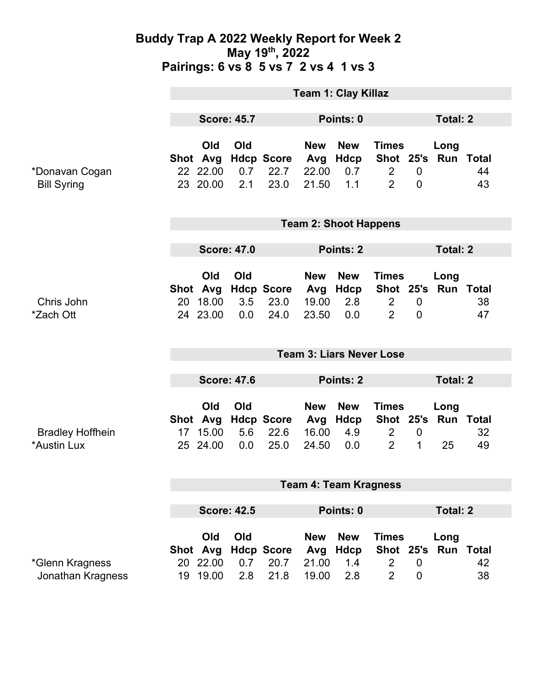### **Buddy Trap A 2022 Weekly Report for Week 2 May 19th, 2022 Pairings: 6 vs 8 5 vs 7 2 vs 4 1 vs 3**

|                                        | <b>Team 1: Clay Killaz</b>      |                                         |                   |                                   |                                     |                                  |                                                               |                               |                                   |                              |
|----------------------------------------|---------------------------------|-----------------------------------------|-------------------|-----------------------------------|-------------------------------------|----------------------------------|---------------------------------------------------------------|-------------------------------|-----------------------------------|------------------------------|
|                                        | <b>Score: 45.7</b>              |                                         | Points: 0         |                                   |                                     |                                  | <b>Total: 2</b>                                               |                               |                                   |                              |
| *Donavan Cogan<br><b>Bill Syring</b>   |                                 | Old<br>Shot Avg<br>22 22.00<br>23 20.00 | Old<br>0.7<br>2.1 | <b>Hdcp Score</b><br>22.7<br>23.0 | <b>New</b><br>Avg<br>22.00<br>21.50 | <b>New</b><br>Hdcp<br>0.7<br>1.1 | <b>Times</b><br>$\overline{2}$<br>$\overline{2}$              | $\mathbf 0$<br>$\overline{0}$ | Long<br>Shot 25's Run Total       | 44<br>43                     |
|                                        | <b>Team 2: Shoot Happens</b>    |                                         |                   |                                   |                                     |                                  |                                                               |                               |                                   |                              |
|                                        | <b>Score: 47.0</b>              |                                         |                   | Points: 2                         |                                     |                                  |                                                               | <b>Total: 2</b>               |                                   |                              |
| Chris John<br>*Zach Ott                | 20                              | Old<br>Shot Avg<br>18.00<br>24 23.00    | Old<br>3.5<br>0.0 | <b>Hdcp Score</b><br>23.0<br>24.0 | <b>New</b><br>Avg<br>19.00<br>23.50 | <b>New</b><br>Hdcp<br>2.8<br>0.0 | <b>Times</b><br>$\overline{2}$<br>$\overline{2}$              | $\mathbf 0$<br>$\overline{0}$ | Long<br>Shot 25's Run Total       | 38<br>47                     |
|                                        | <b>Team 3: Liars Never Lose</b> |                                         |                   |                                   |                                     |                                  |                                                               |                               |                                   |                              |
|                                        | <b>Score: 47.6</b>              |                                         |                   | <b>Points: 2</b>                  |                                     |                                  | <b>Total: 2</b>                                               |                               |                                   |                              |
| <b>Bradley Hoffhein</b><br>*Austin Lux |                                 | Old<br>Shot Avg<br>17 15.00<br>25 24.00 | Old<br>5.6<br>0.0 | <b>Hdcp Score</b><br>22.6<br>25.0 | <b>New</b><br>Avg<br>16.00<br>24.50 | <b>New</b><br>Hdcp<br>4.9<br>0.0 | <b>Times</b><br>$\overline{2}$<br>$\overline{2}$              | $\mathbf 0$<br>1              | Long<br>Shot 25's Run Total<br>25 | 32<br>49                     |
|                                        | <b>Team 4: Team Kragness</b>    |                                         |                   |                                   |                                     |                                  |                                                               |                               |                                   |                              |
|                                        | <b>Score: 42.5</b>              |                                         |                   | Points: 0                         |                                     |                                  | <b>Total: 2</b>                                               |                               |                                   |                              |
| *Glenn Kragness<br>Jonathan Kragness   |                                 | Old<br>Shot Avg<br>20 22.00<br>19 19.00 | Old<br>0.7<br>2.8 | <b>Hdcp Score</b><br>20.7<br>21.8 | <b>New</b><br>Avg<br>21.00<br>19.00 | <b>New</b><br>Hdcp<br>1.4<br>2.8 | <b>Times</b><br>Shot 25's<br>$\overline{2}$<br>$\overline{2}$ | $\mathbf 0$<br>$\mathbf 0$    | Long                              | <b>Run Total</b><br>42<br>38 |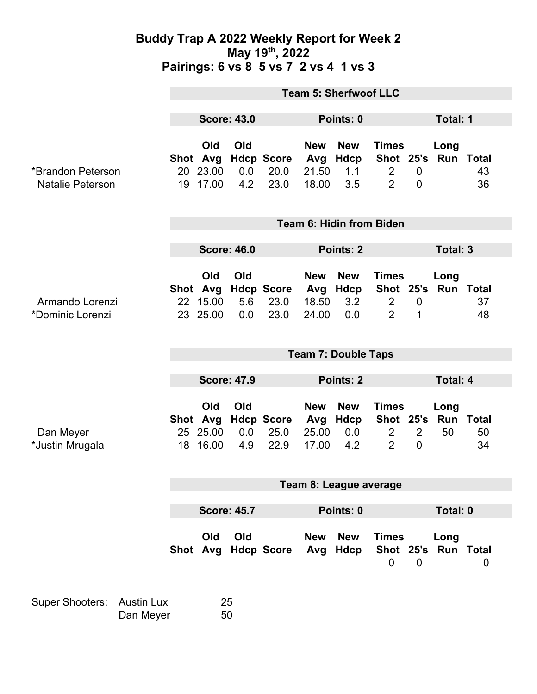### **Buddy Trap A 2022 Weekly Report for Week 2 May 19th, 2022 Pairings: 6 vs 8 5 vs 7 2 vs 4 1 vs 3**

|                                              | <b>Team 5: Sherfwoof LLC</b> |                                         |                   |                                   |                                     |                                      |                                                               |                            |                                |                |  |
|----------------------------------------------|------------------------------|-----------------------------------------|-------------------|-----------------------------------|-------------------------------------|--------------------------------------|---------------------------------------------------------------|----------------------------|--------------------------------|----------------|--|
|                                              | <b>Score: 43.0</b>           |                                         |                   |                                   | Points: 0                           |                                      |                                                               |                            | Total: 1                       |                |  |
| *Brandon Peterson<br><b>Natalie Peterson</b> | 20<br>19                     | Old<br>Shot Avg<br>23.00<br>17.00       | Old<br>0.0<br>4.2 | <b>Hdcp Score</b><br>20.0<br>23.0 | <b>New</b><br>Avg<br>21.50<br>18.00 | <b>New</b><br>Hdcp<br>1.1<br>3.5     | <b>Times</b><br>$\overline{2}$<br>$\overline{2}$              | $\mathbf 0$<br>$\mathbf 0$ | Long<br>Shot 25's Run Total    | 43<br>36       |  |
|                                              | Team 6: Hidin from Biden     |                                         |                   |                                   |                                     |                                      |                                                               |                            |                                |                |  |
|                                              | <b>Score: 46.0</b>           |                                         |                   |                                   | Points: 2                           |                                      |                                                               |                            | Total: 3                       |                |  |
| Armando Lorenzi<br>*Dominic Lorenzi          |                              | Old<br>Shot Avg<br>22 15.00<br>23 25.00 | Old<br>5.6<br>0.0 | <b>Hdcp Score</b><br>23.0<br>23.0 | <b>New</b><br>18.50<br>24.00        | <b>New</b><br>Avg Hdcp<br>3.2<br>0.0 | <b>Times</b><br>Shot 25's<br>2<br>2                           | $\boldsymbol{0}$<br>1      | Long<br><b>Run Total</b>       | 37<br>48       |  |
|                                              | <b>Team 7: Double Taps</b>   |                                         |                   |                                   |                                     |                                      |                                                               |                            |                                |                |  |
|                                              | <b>Score: 47.9</b>           |                                         |                   | Points: 2                         |                                     |                                      |                                                               | <b>Total: 4</b>            |                                |                |  |
| Dan Meyer<br>*Justin Mrugala                 | 18                           | Old<br>Shot Avg<br>25 25.00<br>16.00    | Old<br>0.0<br>4.9 | <b>Hdcp Score</b><br>25.0<br>22.9 | <b>New</b><br>Avg<br>25.00<br>17.00 | <b>New</b><br>Hdcp<br>0.0<br>4.2     | <b>Times</b><br>Shot 25's<br>$\overline{2}$<br>$\overline{2}$ | 2<br>$\mathbf 0$           | Long<br><b>Run Total</b><br>50 | 50<br>34       |  |
|                                              | Team 8: League average       |                                         |                   |                                   |                                     |                                      |                                                               |                            |                                |                |  |
|                                              | <b>Score: 45.7</b>           |                                         |                   |                                   | Points: 0                           |                                      |                                                               |                            | <b>Total: 0</b>                |                |  |
|                                              |                              | Old<br>Shot Avg                         | Old               | <b>Hdcp Score</b>                 | <b>New</b><br>Avg                   | <b>New</b><br>Hdcp                   | <b>Times</b><br>0                                             | $\mathbf 0$                | Long<br>Shot 25's Run Total    | $\overline{0}$ |  |
| Super Shooters: Austin Lux                   |                              |                                         | 25                |                                   |                                     |                                      |                                                               |                            |                                |                |  |

Austin Lux 25<br>Dan Meyer 50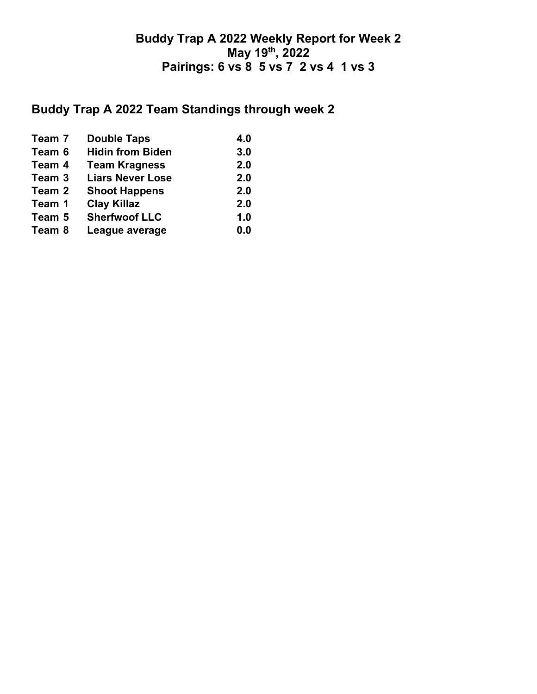### **Buddy Trap A 2022 Weekly Report for Week 2 May 19th, 2022 Pairings: 6 vs 8 5 vs 7 2 vs 4 1 vs 3**

# **Buddy Trap A 2022 Team Standings through week 2**

| Team 7 | <b>Double Taps</b>      | 4.0 |
|--------|-------------------------|-----|
| Team 6 | <b>Hidin from Biden</b> | 3.0 |
| Team 4 | <b>Team Kragness</b>    | 2.0 |
| Team 3 | <b>Liars Never Lose</b> | 2.0 |
| Team 2 | <b>Shoot Happens</b>    | 2.0 |
| Team 1 | <b>Clay Killaz</b>      | 2.0 |
| Team 5 | <b>Sherfwoof LLC</b>    | 1.0 |
| Team 8 | League average          | 0.0 |